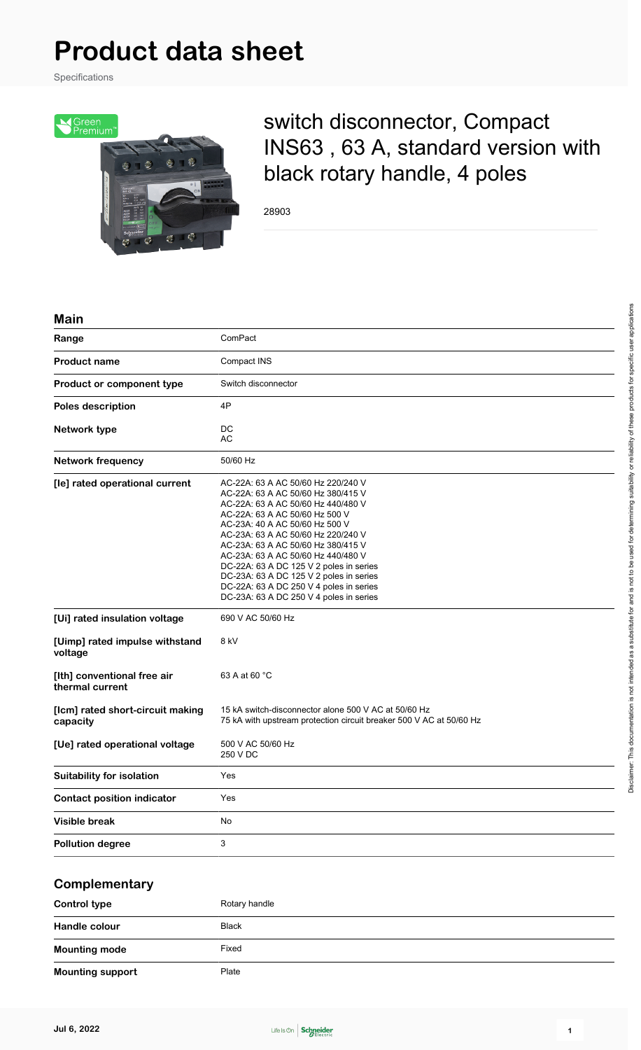# **Product data sheet**

Specifications



switch disconnector, Compact INS63 , 63 A, standard version with black rotary handle, 4 poles

28903

#### **Main**

| Range                                          | ComPact                                                                                                                                                                                                                                                                                                                                                                                                                                                                          |
|------------------------------------------------|----------------------------------------------------------------------------------------------------------------------------------------------------------------------------------------------------------------------------------------------------------------------------------------------------------------------------------------------------------------------------------------------------------------------------------------------------------------------------------|
| <b>Product name</b>                            | Compact INS                                                                                                                                                                                                                                                                                                                                                                                                                                                                      |
| Product or component type                      | Switch disconnector                                                                                                                                                                                                                                                                                                                                                                                                                                                              |
| <b>Poles description</b>                       | 4P                                                                                                                                                                                                                                                                                                                                                                                                                                                                               |
| Network type                                   | DC<br><b>AC</b>                                                                                                                                                                                                                                                                                                                                                                                                                                                                  |
| <b>Network frequency</b>                       | 50/60 Hz                                                                                                                                                                                                                                                                                                                                                                                                                                                                         |
| [le] rated operational current                 | AC-22A: 63 A AC 50/60 Hz 220/240 V<br>AC-22A: 63 A AC 50/60 Hz 380/415 V<br>AC-22A: 63 A AC 50/60 Hz 440/480 V<br>AC-22A: 63 A AC 50/60 Hz 500 V<br>AC-23A: 40 A AC 50/60 Hz 500 V<br>AC-23A: 63 A AC 50/60 Hz 220/240 V<br>AC-23A: 63 A AC 50/60 Hz 380/415 V<br>AC-23A: 63 A AC 50/60 Hz 440/480 V<br>DC-22A: 63 A DC 125 V 2 poles in series<br>DC-23A: 63 A DC 125 V 2 poles in series<br>DC-22A: 63 A DC 250 V 4 poles in series<br>DC-23A: 63 A DC 250 V 4 poles in series |
| [Ui] rated insulation voltage                  | 690 V AC 50/60 Hz                                                                                                                                                                                                                                                                                                                                                                                                                                                                |
| [Uimp] rated impulse withstand<br>voltage      | 8 kV                                                                                                                                                                                                                                                                                                                                                                                                                                                                             |
| [Ith] conventional free air<br>thermal current | 63 A at 60 °C                                                                                                                                                                                                                                                                                                                                                                                                                                                                    |
| [Icm] rated short-circuit making<br>capacity   | 15 kA switch-disconnector alone 500 V AC at 50/60 Hz<br>75 kA with upstream protection circuit breaker 500 V AC at 50/60 Hz                                                                                                                                                                                                                                                                                                                                                      |
| [Ue] rated operational voltage                 | 500 V AC 50/60 Hz<br>250 V DC                                                                                                                                                                                                                                                                                                                                                                                                                                                    |
| <b>Suitability for isolation</b>               | Yes                                                                                                                                                                                                                                                                                                                                                                                                                                                                              |
| <b>Contact position indicator</b>              | Yes                                                                                                                                                                                                                                                                                                                                                                                                                                                                              |
| <b>Visible break</b>                           | No                                                                                                                                                                                                                                                                                                                                                                                                                                                                               |
| <b>Pollution degree</b>                        | 3                                                                                                                                                                                                                                                                                                                                                                                                                                                                                |

### **Complementary**

| <b>Control type</b>     | Rotary handle |  |
|-------------------------|---------------|--|
| Handle colour           | <b>Black</b>  |  |
| <b>Mounting mode</b>    | Fixed         |  |
| <b>Mounting support</b> | Plate         |  |

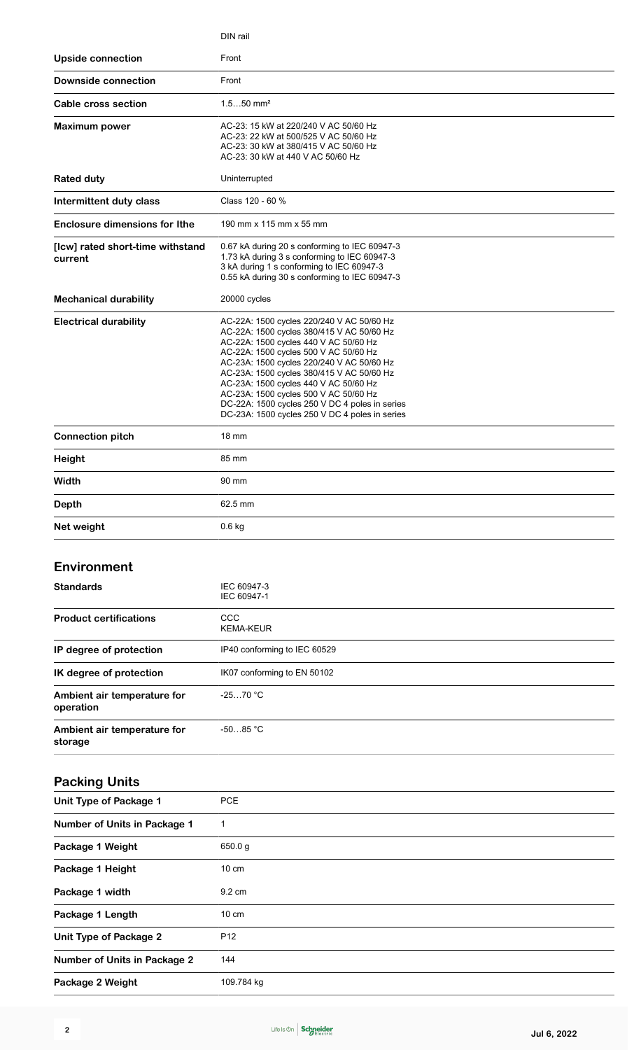|                                             | DIN rail                                                                                                                                                                                                                                                                                                                                                                                                                                                 |
|---------------------------------------------|----------------------------------------------------------------------------------------------------------------------------------------------------------------------------------------------------------------------------------------------------------------------------------------------------------------------------------------------------------------------------------------------------------------------------------------------------------|
| <b>Upside connection</b>                    | Front                                                                                                                                                                                                                                                                                                                                                                                                                                                    |
| <b>Downside connection</b>                  | Front                                                                                                                                                                                                                                                                                                                                                                                                                                                    |
| Cable cross section                         | $1.550$ mm <sup>2</sup>                                                                                                                                                                                                                                                                                                                                                                                                                                  |
| <b>Maximum power</b>                        | AC-23: 15 kW at 220/240 V AC 50/60 Hz<br>AC-23: 22 kW at 500/525 V AC 50/60 Hz<br>AC-23: 30 kW at 380/415 V AC 50/60 Hz<br>AC-23: 30 kW at 440 V AC 50/60 Hz                                                                                                                                                                                                                                                                                             |
| <b>Rated duty</b>                           | Uninterrupted                                                                                                                                                                                                                                                                                                                                                                                                                                            |
| Intermittent duty class                     | Class 120 - 60 %                                                                                                                                                                                                                                                                                                                                                                                                                                         |
| <b>Enclosure dimensions for Ithe</b>        | 190 mm x 115 mm x 55 mm                                                                                                                                                                                                                                                                                                                                                                                                                                  |
| [Icw] rated short-time withstand<br>current | 0.67 kA during 20 s conforming to IEC 60947-3<br>1.73 kA during 3 s conforming to IEC 60947-3<br>3 kA during 1 s conforming to IEC 60947-3<br>0.55 kA during 30 s conforming to IEC 60947-3                                                                                                                                                                                                                                                              |
| <b>Mechanical durability</b>                | 20000 cycles                                                                                                                                                                                                                                                                                                                                                                                                                                             |
| <b>Electrical durability</b>                | AC-22A: 1500 cycles 220/240 V AC 50/60 Hz<br>AC-22A: 1500 cycles 380/415 V AC 50/60 Hz<br>AC-22A: 1500 cycles 440 V AC 50/60 Hz<br>AC-22A: 1500 cycles 500 V AC 50/60 Hz<br>AC-23A: 1500 cycles 220/240 V AC 50/60 Hz<br>AC-23A: 1500 cycles 380/415 V AC 50/60 Hz<br>AC-23A: 1500 cycles 440 V AC 50/60 Hz<br>AC-23A: 1500 cycles 500 V AC 50/60 Hz<br>DC-22A: 1500 cycles 250 V DC 4 poles in series<br>DC-23A: 1500 cycles 250 V DC 4 poles in series |
| <b>Connection pitch</b>                     | <b>18 mm</b>                                                                                                                                                                                                                                                                                                                                                                                                                                             |
| Height                                      | 85 mm                                                                                                                                                                                                                                                                                                                                                                                                                                                    |
| Width                                       | 90 mm                                                                                                                                                                                                                                                                                                                                                                                                                                                    |
| <b>Depth</b>                                | 62.5 mm                                                                                                                                                                                                                                                                                                                                                                                                                                                  |
| Net weight                                  | $0.6$ kg                                                                                                                                                                                                                                                                                                                                                                                                                                                 |
|                                             |                                                                                                                                                                                                                                                                                                                                                                                                                                                          |
| <b>Environment</b>                          |                                                                                                                                                                                                                                                                                                                                                                                                                                                          |
| <b>Standards</b>                            | IEC 60947-3<br>IEC 60947-1                                                                                                                                                                                                                                                                                                                                                                                                                               |
| <b>Product certifications</b>               | CCC<br><b>KEMA-KEUR</b>                                                                                                                                                                                                                                                                                                                                                                                                                                  |
| IP degree of protection                     | IP40 conforming to IEC 60529                                                                                                                                                                                                                                                                                                                                                                                                                             |
| IK degree of protection                     | IK07 conforming to EN 50102                                                                                                                                                                                                                                                                                                                                                                                                                              |
| Ambient air temperature for<br>operation    | $-2570 °C$                                                                                                                                                                                                                                                                                                                                                                                                                                               |
| Ambient air temperature for<br>storage      | $-5085 °C$                                                                                                                                                                                                                                                                                                                                                                                                                                               |
| <b>Packing Units</b>                        |                                                                                                                                                                                                                                                                                                                                                                                                                                                          |
| <b>Unit Type of Package 1</b>               | <b>PCE</b>                                                                                                                                                                                                                                                                                                                                                                                                                                               |
| <b>Number of Units in Package 1</b>         | 1                                                                                                                                                                                                                                                                                                                                                                                                                                                        |
| Package 1 Weight                            | 650.0g                                                                                                                                                                                                                                                                                                                                                                                                                                                   |
| Package 1 Height                            | $10 \text{ cm}$                                                                                                                                                                                                                                                                                                                                                                                                                                          |
| Package 1 width                             | 9.2 cm                                                                                                                                                                                                                                                                                                                                                                                                                                                   |
| Package 1 Length                            | $10 \text{ cm}$                                                                                                                                                                                                                                                                                                                                                                                                                                          |
| <b>Unit Type of Package 2</b>               | P <sub>12</sub>                                                                                                                                                                                                                                                                                                                                                                                                                                          |
| <b>Number of Units in Package 2</b>         | 144                                                                                                                                                                                                                                                                                                                                                                                                                                                      |
| Package 2 Weight                            | 109.784 kg                                                                                                                                                                                                                                                                                                                                                                                                                                               |